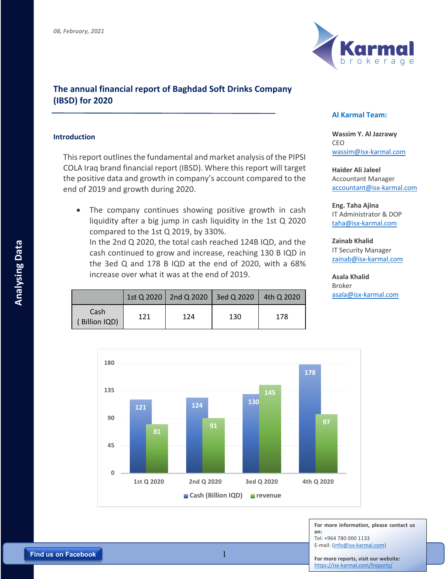

## **The annual financial report of Baghdad Soft Drinks Company (IBSD) for 2020**

## **Introduction**

This report outlines the fundamental and market analysis of the PIPSI COLA Iraq brand financial report (IBSD). Where this report will target the positive data and growth in company's account compared to the end of 2019 and growth during 2020.

• The company continues showing positive growth in cash liquidity after a big jump in cash liquidity in the 1st Q 2020 compared to the 1st Q 2019, by 330%.

In the 2nd Q 2020, the total cash reached 124B IQD, and the cash continued to grow and increase, reaching 130 B IQD in the 3ed Q and 178 B IQD at the end of 2020, with a 68% increase over what it was at the end of 2019.

|                       |     | 1st Q 2020   2nd Q 2020   3ed Q 2020   4th Q 2020 |     |     |
|-----------------------|-----|---------------------------------------------------|-----|-----|
| Cash<br>(Billion IQD) | 121 | 124                                               | 130 | 178 |

## **Al Karmal Team:**

**Wassim Y. Al Jazrawy** CEO wassim@isx-karmal.com

**Haider Ali Jaleel** Accountant Manager accountant@isx-karmal.com

**Eng. Taha Ajina**  IT Administrator & DOP taha@isx-karmal.com

**Zainab Khalid** IT Security Manager zainab@isx-karmal.com

**Asala Khalid** Broker asala@isx-karmal.com



**For more information, please contact us on:** Tel: +964 780 000 1133 E-mail: (info@isx-karmal.com)

**For more reports, visit our website:** https://isx-karmal.com/freports/